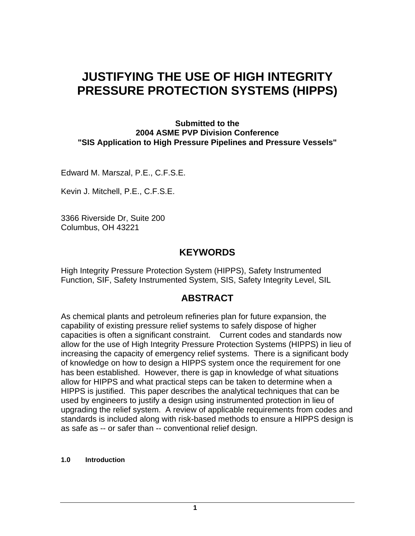# **JUSTIFYING THE USE OF HIGH INTEGRITY PRESSURE PROTECTION SYSTEMS (HIPPS)**

**Submitted to the 2004 ASME PVP Division Conference "SIS Application to High Pressure Pipelines and Pressure Vessels"** 

Edward M. Marszal, P.E., C.F.S.E.

Kevin J. Mitchell, P.E., C.F.S.E.

3366 Riverside Dr, Suite 200 Columbus, OH 43221

## **KEYWORDS**

High Integrity Pressure Protection System (HIPPS), Safety Instrumented Function, SIF, Safety Instrumented System, SIS, Safety Integrity Level, SIL

# **ABSTRACT**

As chemical plants and petroleum refineries plan for future expansion, the capability of existing pressure relief systems to safely dispose of higher capacities is often a significant constraint. Current codes and standards now allow for the use of High Integrity Pressure Protection Systems (HIPPS) in lieu of increasing the capacity of emergency relief systems. There is a significant body of knowledge on how to design a HIPPS system once the requirement for one has been established. However, there is gap in knowledge of what situations allow for HIPPS and what practical steps can be taken to determine when a HIPPS is justified. This paper describes the analytical techniques that can be used by engineers to justify a design using instrumented protection in lieu of upgrading the relief system. A review of applicable requirements from codes and standards is included along with risk-based methods to ensure a HIPPS design is as safe as -- or safer than -- conventional relief design.

#### **1.0 Introduction**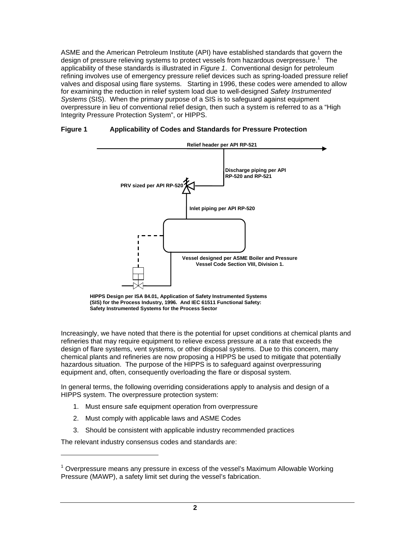ASME and the American Petroleum Institute (API) have established standards that govern the design of pressure relieving systems to protect vessels from hazardous overpressure.<sup>1</sup> The applicability of these standards is illustrated in *Figure 1*. Conventional design for petroleum refining involves use of emergency pressure relief devices such as spring-loaded pressure relief valves and disposal using flare systems. Starting in 1996, these codes were amended to allow for examining the reduction in relief system load due to well-designed *Safety Instrumented Systems* (SIS). When the primary purpose of a SIS is to safeguard against equipment overpressure in lieu of conventional relief design, then such a system is referred to as a "High Integrity Pressure Protection System", or HIPPS.



#### **Figure 1 Applicability of Codes and Standards for Pressure Protection**

**HIPPS Design per ISA 84.01, Application of Safety Instrumented Systems (SIS) for the Process Industry, 1996. And IEC 61511 Functional Safety: Safety Instrumented Systems for the Process Sector**

Increasingly, we have noted that there is the potential for upset conditions at chemical plants and refineries that may require equipment to relieve excess pressure at a rate that exceeds the design of flare systems, vent systems, or other disposal systems. Due to this concern, many chemical plants and refineries are now proposing a HIPPS be used to mitigate that potentially hazardous situation. The purpose of the HIPPS is to safeguard against overpressuring equipment and, often, consequently overloading the flare or disposal system.

In general terms, the following overriding considerations apply to analysis and design of a HIPPS system. The overpressure protection system:

- 1. Must ensure safe equipment operation from overpressure
- 2. Must comply with applicable laws and ASME Codes
- 3. Should be consistent with applicable industry recommended practices

The relevant industry consensus codes and standards are:

l

 $1$  Overpressure means any pressure in excess of the vessel's Maximum Allowable Working Pressure (MAWP), a safety limit set during the vessel's fabrication.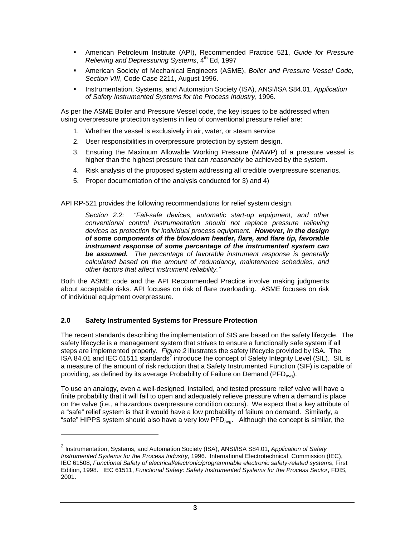- American Petroleum Institute (API), Recommended Practice 521, *Guide for Pressure Relieving and Depressuring Systems*, 4<sup>th</sup> Ed, 1997
- American Society of Mechanical Engineers (ASME), *Boiler and Pressure Vessel Code, Section VIII*, Code Case 2211, August 1996.
- Instrumentation, Systems, and Automation Society (ISA), ANSI/ISA S84.01, *Application of Safety Instrumented Systems for the Process Industry*, 1996.

As per the ASME Boiler and Pressure Vessel code, the key issues to be addressed when using overpressure protection systems in lieu of conventional pressure relief are:

- 1. Whether the vessel is exclusively in air, water, or steam service
- 2. User responsibilities in overpressure protection by system design.
- 3. Ensuring the Maximum Allowable Working Pressure (MAWP) of a pressure vessel is higher than the highest pressure that can *reasonably* be achieved by the system.
- 4. Risk analysis of the proposed system addressing all credible overpressure scenarios.
- 5. Proper documentation of the analysis conducted for 3) and 4)

API RP-521 provides the following recommendations for relief system design.

*Section 2.2: "Fail-safe devices, automatic start-up equipment, and other conventional control instrumentation should not replace pressure relieving devices as protection for individual process equipment. However, in the design of some components of the blowdown header, flare, and flare tip, favorable instrument response of some percentage of the instrumented system can be assumed. The percentage of favorable instrument response is generally calculated based on the amount of redundancy, maintenance schedules, and other factors that affect instrument reliability."* 

Both the ASME code and the API Recommended Practice involve making judgments about acceptable risks. API focuses on risk of flare overloading. ASME focuses on risk of individual equipment overpressure.

#### **2.0 Safety Instrumented Systems for Pressure Protection**

1

The recent standards describing the implementation of SIS are based on the safety lifecycle. The safety lifecycle is a management system that strives to ensure a functionally safe system if all steps are implemented properly. *Figure 2* illustrates the safety lifecycle provided by ISA. The ISA 84.01 and IEC 61511 standards<sup>2</sup> introduce the concept of Safety Integrity Level (SIL). SIL is a measure of the amount of risk reduction that a Safety Instrumented Function (SIF) is capable of providing, as defined by its average Probability of Failure on Demand (PFD<sub>avg</sub>).

To use an analogy, even a well-designed, installed, and tested pressure relief valve will have a finite probability that it will fail to open and adequately relieve pressure when a demand is place on the valve (i.e., a hazardous overpressure condition occurs). We expect that a key attribute of a "safe" relief system is that it would have a low probability of failure on demand. Similarly, a "safe" HIPPS system should also have a very low  $PFD_{\text{avg}}$ . Although the concept is similar, the

<sup>2</sup> Instrumentation, Systems, and Automation Society (ISA), ANSI/ISA S84.01, *Application of Safety Instrumented Systems for the Process Industry*, 1996. International Electrotechnical Commission (IEC), IEC 61508, *Functional Safety of electrical/electronic/programmable electronic safety-related systems*, First Edition, 1998. IEC 61511, *Functional Safety: Safety Instrumented Systems for the Process Sector*, FDIS, 2001.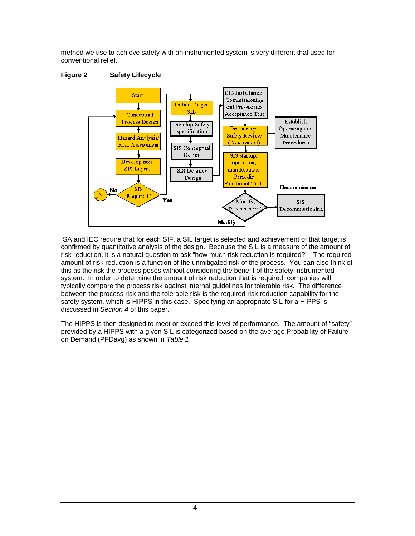method we use to achieve safety with an instrumented system is very different that used for conventional relief.





ISA and IEC require that for each SIF, a SIL target is selected and achievement of that target is confirmed by quantitative analysis of the design. Because the SIL is a measure of the amount of risk reduction, it is a natural question to ask "how much risk reduction is required?" The required amount of risk reduction is a function of the unmitigated risk of the process. You can also think of this as the risk the process poses without considering the benefit of the safety instrumented system. In order to determine the amount of risk reduction that is required, companies will typically compare the process risk against internal guidelines for tolerable risk. The difference between the process risk and the tolerable risk is the required risk reduction capability for the safety system, which is HIPPS in this case. Specifying an appropriate SIL for a HIPPS is discussed in *Section 4* of this paper.

The HIPPS is then designed to meet or exceed this level of performance. The amount of "safety" provided by a HIPPS with a given SIL is categorized based on the average Probability of Failure on Demand (PFDavg) as shown in *Table 1*.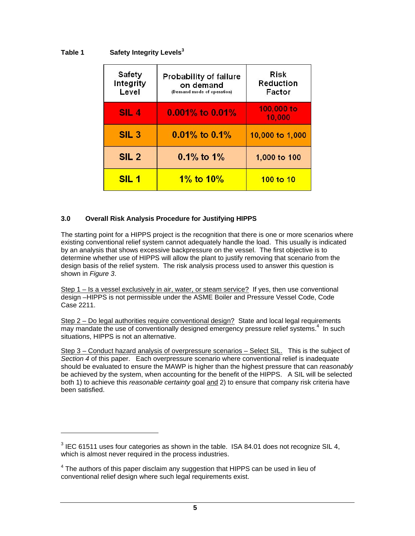#### **Table 1 Safety Integrity Levels<sup>3</sup>**

| Safety<br>Integrity<br>Level | <b>Probability of failure</b><br>on demand<br>(Demand mode of operation) | Risk<br>Reduction<br>Factor |
|------------------------------|--------------------------------------------------------------------------|-----------------------------|
| <b>SIL4</b>                  | $0.001\%$ to $0.01\%$                                                    | 100,000 to<br>10,000        |
| SIL <sub>3</sub>             | $0.01\%$ to $0.1\%$                                                      | 10,000 to 1,000             |
| SIL <sub>2</sub>             | $0.1\%$ to $1\%$                                                         | 1,000 to 100                |
| SIL <sub>1</sub>             | 1% to $10\%$                                                             | 100 to 10                   |

#### **3.0 Overall Risk Analysis Procedure for Justifying HIPPS**

The starting point for a HIPPS project is the recognition that there is one or more scenarios where existing conventional relief system cannot adequately handle the load. This usually is indicated by an analysis that shows excessive backpressure on the vessel. The first objective is to determine whether use of HIPPS will allow the plant to justify removing that scenario from the design basis of the relief system. The risk analysis process used to answer this question is shown in *Figure 3*.

Step 1 – Is a vessel exclusively in air, water, or steam service? If yes, then use conventional design –HIPPS is not permissible under the ASME Boiler and Pressure Vessel Code, Code Case 2211.

Step 2 – Do legal authorities require conventional design? State and local legal requirements may mandate the use of conventionally designed emergency pressure relief systems.<sup>4</sup> In such situations, HIPPS is not an alternative.

Step 3 – Conduct hazard analysis of overpressure scenarios – Select SIL. This is the subject of *Section 4* of this paper. Each overpressure scenario where conventional relief is inadequate should be evaluated to ensure the MAWP is higher than the highest pressure that can *reasonably* be achieved by the system, when accounting for the benefit of the HIPPS. A SIL will be selected both 1) to achieve this *reasonable certainty* goal and 2) to ensure that company risk criteria have been satisfied.

l

 $3$  IEC 61511 uses four categories as shown in the table. ISA 84.01 does not recognize SIL 4, which is almost never required in the process industries.

 $4$  The authors of this paper disclaim any suggestion that HIPPS can be used in lieu of conventional relief design where such legal requirements exist.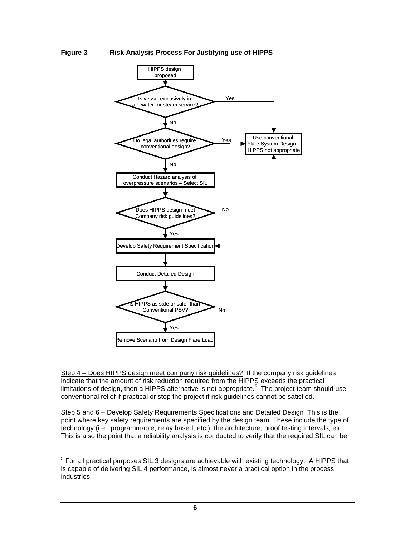#### **Figure 3 Risk Analysis Process For Justifying use of HIPPS**



Step 4 – Does HIPPS design meet company risk guidelines? If the company risk guidelines indicate that the amount of risk reduction required from the HIPPS exceeds the practical limitations of design, then a HIPPS alternative is not appropriate.<sup>5</sup> The project team should use conventional relief if practical or stop the project if risk guidelines cannot be satisfied.

Step 5 and 6 – Develop Safety Requirements Specifications and Detailed Design This is the point where key safety requirements are specified by the design team. These include the type of technology (i.e., programmable, relay based, etc.), the architecture, proof testing intervals, etc. This is also the point that a reliability analysis is conducted to verify that the required SIL can be

l

 $<sup>5</sup>$  For all practical purposes SIL 3 designs are achievable with existing technology. A HIPPS that</sup> is capable of delivering SIL 4 performance, is almost never a practical option in the process industries.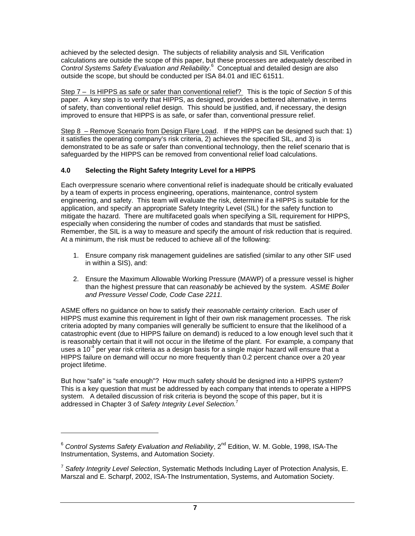achieved by the selected design. The subjects of reliability analysis and SIL Verification calculations are outside the scope of this paper, but these processes are adequately described in Control Systems Safety Evaluation and Reliability.<sup>6</sup> Conceptual and detailed design are also outside the scope, but should be conducted per ISA 84.01 and IEC 61511.

Step 7 – Is HIPPS as safe or safer than conventional relief? This is the topic of *Section 5* of this paper. A key step is to verify that HIPPS, as designed, provides a bettered alternative, in terms of safety, than conventional relief design. This should be justified, and, if necessary, the design improved to ensure that HIPPS is as safe, or safer than, conventional pressure relief.

Step 8 – Remove Scenario from Design Flare Load. If the HIPPS can be designed such that: 1) it satisfies the operating company's risk criteria, 2) achieves the specified SIL, and 3) is demonstrated to be as safe or safer than conventional technology, then the relief scenario that is safeguarded by the HIPPS can be removed from conventional relief load calculations.

#### **4.0 Selecting the Right Safety Integrity Level for a HIPPS**

Each overpressure scenario where conventional relief is inadequate should be critically evaluated by a team of experts in process engineering, operations, maintenance, control system engineering, and safety. This team will evaluate the risk, determine if a HIPPS is suitable for the application, and specify an appropriate Safety Integrity Level (SIL) for the safety function to mitigate the hazard. There are multifaceted goals when specifying a SIL requirement for HIPPS, especially when considering the number of codes and standards that must be satisfied. Remember, the SIL is a way to measure and specify the amount of risk reduction that is required. At a minimum, the risk must be reduced to achieve all of the following:

- 1. Ensure company risk management guidelines are satisfied (similar to any other SIF used in within a SIS), and:
- 2. Ensure the Maximum Allowable Working Pressure (MAWP) of a pressure vessel is higher than the highest pressure that can *reasonably* be achieved by the system. *ASME Boiler and Pressure Vessel Code, Code Case 2211.*

ASME offers no guidance on how to satisfy their *reasonable certainty* criterion. Each user of HIPPS must examine this requirement in light of their own risk management processes. The risk criteria adopted by many companies will generally be sufficient to ensure that the likelihood of a catastrophic event (due to HIPPS failure on demand) is reduced to a low enough level such that it is reasonably certain that it will not occur in the lifetime of the plant. For example, a company that uses a 10 $4$  per year risk criteria as a design basis for a single major hazard will ensure that a HIPPS failure on demand will occur no more frequently than 0.2 percent chance over a 20 year project lifetime.

But how "safe" is "safe enough"? How much safety should be designed into a HIPPS system? This is a key question that must be addressed by each company that intends to operate a HIPPS system. A detailed discussion of risk criteria is beyond the scope of this paper, but it is addressed in Chapter 3 of *Safety Integrity Level Selection.*<sup>7</sup>

1

<sup>&</sup>lt;sup>6</sup> Control Systems Safety Evaluation and Reliability, 2<sup>nd</sup> Edition, W. M. Goble, 1998, ISA-The Instrumentation, Systems, and Automation Society.

<sup>7</sup> *Safety Integrity Level Selection*, Systematic Methods Including Layer of Protection Analysis, E. Marszal and E. Scharpf, 2002, ISA-The Instrumentation, Systems, and Automation Society.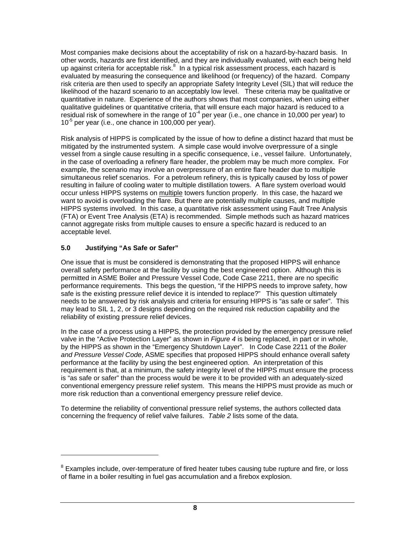Most companies make decisions about the acceptability of risk on a hazard-by-hazard basis. In other words, hazards are first identified, and they are individually evaluated, with each being held up against criteria for acceptable risk. $8\,$  In a typical risk assessment process, each hazard is evaluated by measuring the consequence and likelihood (or frequency) of the hazard. Company risk criteria are then used to specify an appropriate Safety Integrity Level (SIL) that will reduce the likelihood of the hazard scenario to an acceptably low level. These criteria may be qualitative or quantitative in nature. Experience of the authors shows that most companies, when using either qualitative guidelines or quantitative criteria, that will ensure each major hazard is reduced to a residual risk of somewhere in the range of  $10^{-4}$  per year (i.e., one chance in 10,000 per year) to  $10^{-5}$  per year (i.e., one chance in 100,000 per year).

Risk analysis of HIPPS is complicated by the issue of how to define a distinct hazard that must be mitigated by the instrumented system. A simple case would involve overpressure of a single vessel from a single cause resulting in a specific consequence, i.e., vessel failure. Unfortunately, in the case of overloading a refinery flare header, the problem may be much more complex. For example, the scenario may involve an overpressure of an entire flare header due to multiple simultaneous relief scenarios. For a petroleum refinery, this is typically caused by loss of power resulting in failure of cooling water to multiple distillation towers. A flare system overload would occur unless HIPPS systems on multiple towers function properly. In this case, the hazard we want to avoid is overloading the flare. But there are potentially multiple causes, and multiple HIPPS systems involved. In this case, a quantitative risk assessment using Fault Tree Analysis (FTA) or Event Tree Analysis (ETA) is recommended. Simple methods such as hazard matrices cannot aggregate risks from multiple causes to ensure a specific hazard is reduced to an acceptable level.

### **5.0 Justifying "As Safe or Safer"**

1

One issue that is must be considered is demonstrating that the proposed HIPPS will enhance overall safety performance at the facility by using the best engineered option. Although this is permitted in ASME Boiler and Pressure Vessel Code, Code Case 2211, there are no specific performance requirements. This begs the question, "if the HIPPS needs to improve safety, how safe is the existing pressure relief device it is intended to replace?" This question ultimately needs to be answered by risk analysis and criteria for ensuring HIPPS is "as safe or safer". This may lead to SIL 1, 2, or 3 designs depending on the required risk reduction capability and the reliability of existing pressure relief devices.

In the case of a process using a HIPPS, the protection provided by the emergency pressure relief valve in the "Active Protection Layer" as shown in *Figure 4* is being replaced, in part or in whole, by the HIPPS as shown in the "Emergency Shutdown Layer". In Code Case 2211 of the *Boiler and Pressure Vessel Code*, ASME specifies that proposed HIPPS should enhance overall safety performance at the facility by using the best engineered option. An interpretation of this requirement is that, at a minimum, the safety integrity level of the HIPPS must ensure the process is "as safe or safer" than the process would be were it to be provided with an adequately-sized conventional emergency pressure relief system. This means the HIPPS must provide as much or more risk reduction than a conventional emergency pressure relief device.

To determine the reliability of conventional pressure relief systems, the authors collected data concerning the frequency of relief valve failures. *Table 2* lists some of the data.

 $8$  Examples include, over-temperature of fired heater tubes causing tube rupture and fire, or loss of flame in a boiler resulting in fuel gas accumulation and a firebox explosion.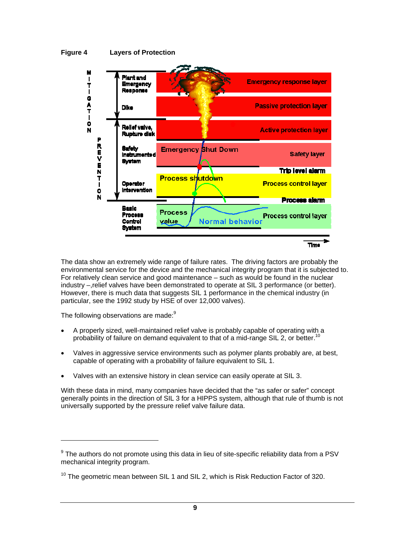



The data show an extremely wide range of failure rates. The driving factors are probably the environmental service for the device and the mechanical integrity program that it is subjected to. For relatively clean service and good maintenance – such as would be found in the nuclear industry –,relief valves have been demonstrated to operate at SIL 3 performance (or better). However, there is much data that suggests SIL 1 performance in the chemical industry (in particular, see the 1992 study by HSE of over 12,000 valves).

The following observations are made:<sup>9</sup>

l

- A properly sized, well-maintained relief valve is probably capable of operating with a probability of failure on demand equivalent to that of a mid-range SIL 2, or better.<sup>10</sup>
- Valves in aggressive service environments such as polymer plants probably are, at best, capable of operating with a probability of failure equivalent to SIL 1.
- Valves with an extensive history in clean service can easily operate at SIL 3.

With these data in mind, many companies have decided that the "as safer or safer" concept generally points in the direction of SIL 3 for a HIPPS system, although that rule of thumb is not universally supported by the pressure relief valve failure data.

 $9$  The authors do not promote using this data in lieu of site-specific reliability data from a PSV mechanical integrity program.

 $10$  The geometric mean between SIL 1 and SIL 2, which is Risk Reduction Factor of 320.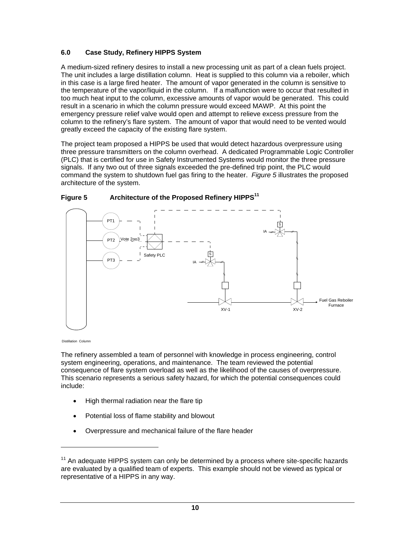#### **6.0 Case Study, Refinery HIPPS System**

A medium-sized refinery desires to install a new processing unit as part of a clean fuels project. The unit includes a large distillation column. Heat is supplied to this column via a reboiler, which in this case is a large fired heater. The amount of vapor generated in the column is sensitive to the temperature of the vapor/liquid in the column. If a malfunction were to occur that resulted in too much heat input to the column, excessive amounts of vapor would be generated. This could result in a scenario in which the column pressure would exceed MAWP. At this point the emergency pressure relief valve would open and attempt to relieve excess pressure from the column to the refinery's flare system. The amount of vapor that would need to be vented would greatly exceed the capacity of the existing flare system.

The project team proposed a HIPPS be used that would detect hazardous overpressure using three pressure transmitters on the column overhead. A dedicated Programmable Logic Controller (PLC) that is certified for use in Safety Instrumented Systems would monitor the three pressure signals. If any two out of three signals exceeded the pre-defined trip point, the PLC would command the system to shutdown fuel gas firing to the heater. *Figure 5* illustrates the proposed architecture of the system.



#### **Figure 5 Architecture of the Proposed Refinery HIPPS11**

Distillation Column

l

The refinery assembled a team of personnel with knowledge in process engineering, control system engineering, operations, and maintenance. The team reviewed the potential consequence of flare system overload as well as the likelihood of the causes of overpressure. This scenario represents a serious safety hazard, for which the potential consequences could include:

- High thermal radiation near the flare tip
- Potential loss of flame stability and blowout
- Overpressure and mechanical failure of the flare header

 $11$  An adequate HIPPS system can only be determined by a process where site-specific hazards are evaluated by a qualified team of experts. This example should not be viewed as typical or representative of a HIPPS in any way.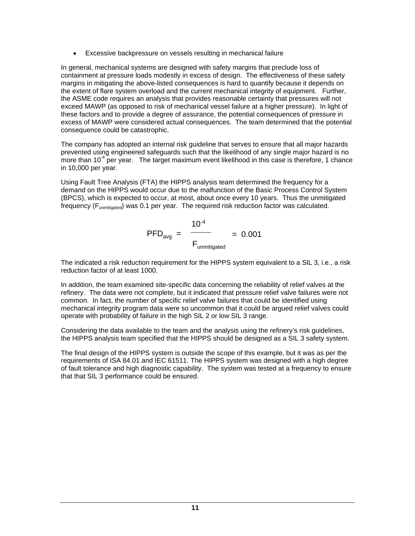Excessive backpressure on vessels resulting in mechanical failure

In general, mechanical systems are designed with safety margins that preclude loss of containment at pressure loads modestly in excess of design. The effectiveness of these safety margins in mitigating the above-listed consequences is hard to quantify because it depends on the extent of flare system overload and the current mechanical integrity of equipment. Further, the ASME code requires an analysis that provides reasonable certainty that pressures will not exceed MAWP (as opposed to risk of mechanical vessel failure at a higher pressure). In light of these factors and to provide a degree of assurance, the potential consequences of pressure in excess of MAWP were considered actual consequences. The team determined that the potential consequence could be catastrophic.

The company has adopted an internal risk guideline that serves to ensure that all major hazards prevented using engineered safeguards such that the likelihood of any single major hazard is no more than  $10^{-4}$  per year. The target maximum event likelihood in this case is therefore, 1 chance in 10,000 per year.

Using Fault Tree Analysis (FTA) the HIPPS analysis team determined the frequency for a demand on the HIPPS would occur due to the malfunction of the Basic Process Control System (BPCS), which is expected to occur, at most, about once every 10 years. Thus the unmitigated frequency ( $F_{unmiticated}$ ) was 0.1 per year. The required risk reduction factor was calculated.

$$
PFD_{avg} = \frac{10^{-4}}{F_{unmitigated}} = 0.001
$$

The indicated a risk reduction requirement for the HIPPS system equivalent to a SIL 3, i.e., a risk reduction factor of at least 1000.

In addition, the team examined site-specific data concerning the reliability of relief valves at the refinery. The data were not complete, but it indicated that pressure relief valve failures were not common. In fact, the number of specific relief valve failures that could be identified using mechanical integrity program data were so uncommon that it could be argued relief valves could operate with probability of failure in the high SIL 2 or low SIL 3 range.

Considering the data available to the team and the analysis using the refinery's risk guidelines, the HIPPS analysis team specified that the HIPPS should be designed as a SIL 3 safety system.

The final design of the HIPPS system is outside the scope of this example, but it was as per the requirements of ISA 84.01 and IEC 61511. The HIPPS system was designed with a high degree of fault tolerance and high diagnostic capability. The system was tested at a frequency to ensure that that SIL 3 performance could be ensured.